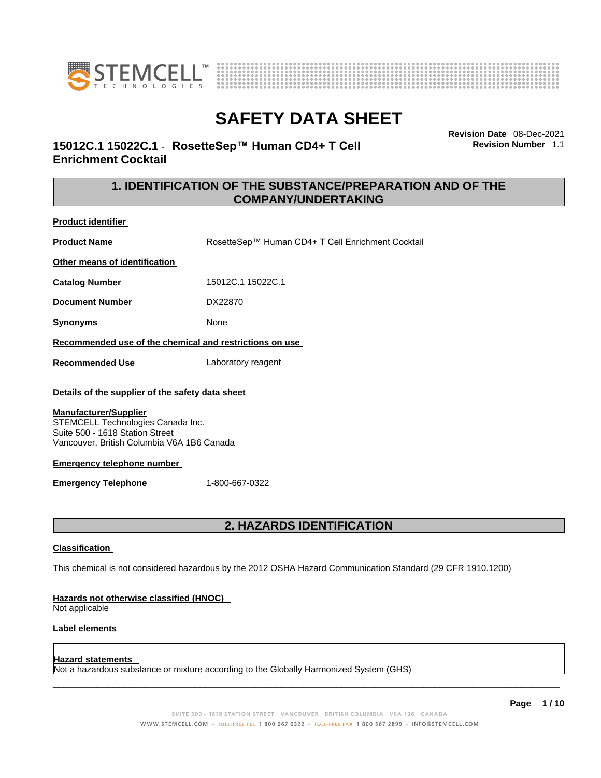



**Revision Date** 08-Dec-2021 **Revision Number** 1.1

### **15012C.1 15022C.1** - **RosetteSep™ Human CD4+ T Cell Enrichment Cocktail**

### **1. IDENTIFICATION OF THE SUBSTANCE/PREPARATION AND OF THE COMPANY/UNDERTAKING**

**Product identifier**

**Product Name** RosetteSep™ Human CD4+ T Cell Enrichment Cocktail

**Other means of identification**

**Catalog Number** 15012C.1 15022C.1

**Document Number** DX22870

**Synonyms** None

**Recommended use of the chemical and restrictions on use**

**Recommended Use** Laboratory reagent

### **Details of the supplier of the safety data sheet**

### **Manufacturer/Supplier**

STEMCELL Technologies Canada Inc. Suite 500 - 1618 Station Street Vancouver, British Columbia V6A 1B6 Canada

### **Emergency telephone number**

**Emergency Telephone** 1-800-667-0322

### **2. HAZARDS IDENTIFICATION**

### **Classification**

This chemical is not considered hazardous by the 2012 OSHA Hazard Communication Standard (29 CFR 1910.1200)

### **Hazards not otherwise classified (HNOC)**

Not applicable

### **Label elements**

### **Hazard statements**

Not a hazardous substance or mixture according to the Globally Harmonized System (GHS)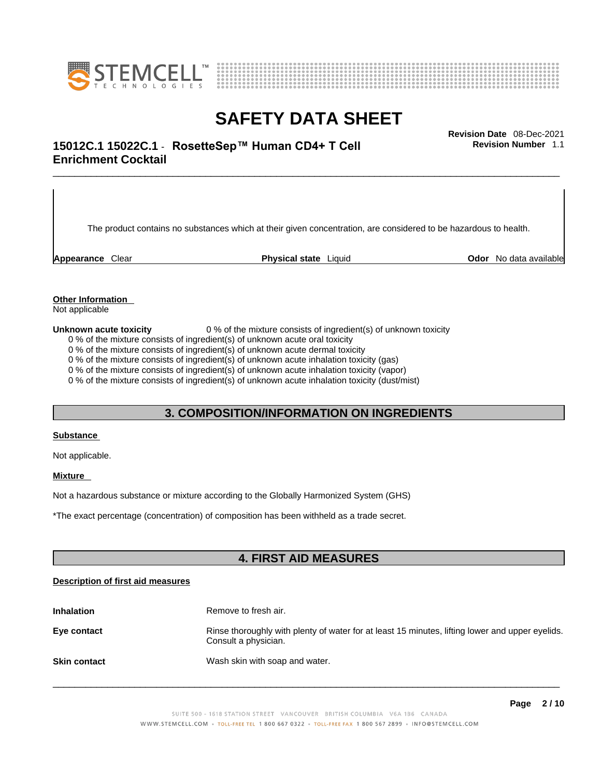



## \_\_\_\_\_\_\_\_\_\_\_\_\_\_\_\_\_\_\_\_\_\_\_\_\_\_\_\_\_\_\_\_\_\_\_\_\_\_\_\_\_\_\_\_\_\_\_\_\_\_\_\_\_\_\_\_\_\_\_\_\_\_\_\_\_\_\_\_\_\_\_\_\_\_\_\_\_\_\_\_\_\_\_\_\_\_\_\_\_\_\_\_\_ **Revision Date** 08-Dec-2021 **15012C.1 15022C.1** - **RosetteSep™ Human CD4+ T Cell Enrichment Cocktail**

The product contains no substances which at their given concentration, are considered to be hazardous to health.

**Appearance** Clear **Physical state** Liquid **Odor** No data available

**Revision Number** 1.1

**Other Information** 

Not applicable

**Unknown acute toxicity** 0 % of the mixture consists of ingredient(s) of unknown toxicity

0 % of the mixture consists of ingredient(s) of unknown acute oral toxicity

0 % of the mixture consists of ingredient(s) of unknown acute dermal toxicity

0 % of the mixture consists of ingredient(s) of unknown acute inhalation toxicity (gas)

0 % of the mixture consists of ingredient(s) of unknown acute inhalation toxicity (vapor)

0 % of the mixture consists of ingredient(s) of unknown acute inhalation toxicity (dust/mist)

### **3. COMPOSITION/INFORMATION ON INGREDIENTS**

#### **Substance**

Not applicable.

### **Mixture**

Not a hazardous substance or mixture according to the Globally Harmonized System (GHS)

\*The exact percentage (concentration) ofcomposition has been withheld as a trade secret.

### **4. FIRST AID MEASURES**

### **Description of first aid measures**

| <b>Inhalation</b>   | Remove to fresh air.                                                                                                    |  |
|---------------------|-------------------------------------------------------------------------------------------------------------------------|--|
| Eye contact         | Rinse thoroughly with plenty of water for at least 15 minutes, lifting lower and upper eyelids.<br>Consult a physician. |  |
| <b>Skin contact</b> | Wash skin with soap and water.                                                                                          |  |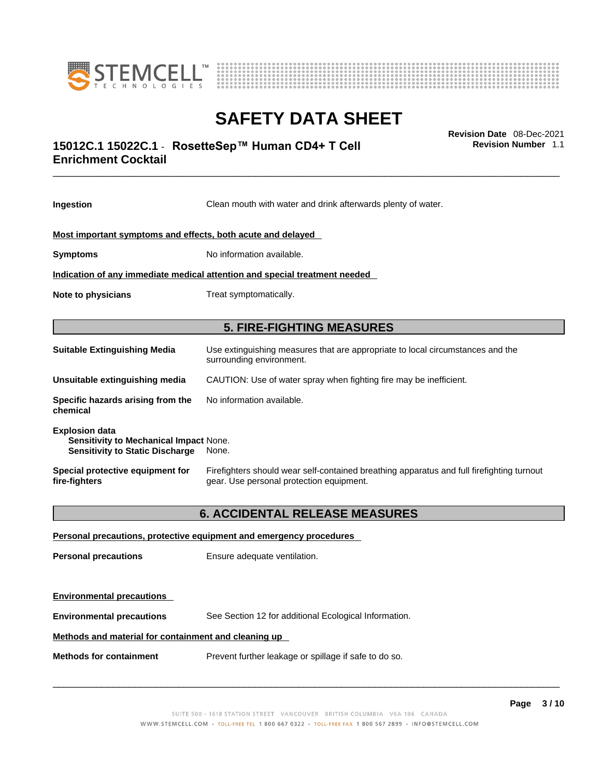



## \_\_\_\_\_\_\_\_\_\_\_\_\_\_\_\_\_\_\_\_\_\_\_\_\_\_\_\_\_\_\_\_\_\_\_\_\_\_\_\_\_\_\_\_\_\_\_\_\_\_\_\_\_\_\_\_\_\_\_\_\_\_\_\_\_\_\_\_\_\_\_\_\_\_\_\_\_\_\_\_\_\_\_\_\_\_\_\_\_\_\_\_\_ **Revision Date** 08-Dec-2021 **15012C.1 15022C.1** - **RosetteSep™ Human CD4+ T Cell Enrichment Cocktail**

**Ingestion** Clean mouth with water and drink afterwards plenty of water. **Most important symptoms and effects, both acute and delayed Symptoms** No information available. **Indication of any immediate medical attention and special treatment needed Note to physicians** Treat symptomatically. **5. FIRE-FIGHTING MEASURES Suitable Extinguishing Media** Use extinguishing measures that are appropriate to local circumstances and the surrounding environment. **Unsuitable extinguishing media** CAUTION: Use of water spray when fighting fire may be inefficient. **Specific hazards arising from the chemical** No information available. **Explosion data Sensitivity to Mechanical Impact** None. **Sensitivity to Static Discharge** None. **Special protective equipment for fire-fighters** Firefighters should wear self-contained breathing apparatus and full firefighting turnout gear. Use personal protection equipment. **6. ACCIDENTAL RELEASE MEASURES Personal precautions, protective equipment and emergency procedures Personal precautions** Ensure adequate ventilation.

**Environmental precautions** See Section 12 for additional Ecological Information.

### **Methods and material for containment and cleaning up**

**Environmental precautions** 

**Methods for containment** Prevent further leakage or spillage if safe to do so.

 $\_$  ,  $\_$  ,  $\_$  ,  $\_$  ,  $\_$  ,  $\_$  ,  $\_$  ,  $\_$  ,  $\_$  ,  $\_$  ,  $\_$  ,  $\_$  ,  $\_$  ,  $\_$  ,  $\_$  ,  $\_$  ,  $\_$  ,  $\_$  ,  $\_$  ,  $\_$  ,  $\_$  ,  $\_$  ,  $\_$  ,  $\_$  ,  $\_$  ,  $\_$  ,  $\_$  ,  $\_$  ,  $\_$  ,  $\_$  ,  $\_$  ,  $\_$  ,  $\_$  ,  $\_$  ,  $\_$  ,  $\_$  ,  $\_$  ,

**Revision Number** 1.1

**Page 3 / 10**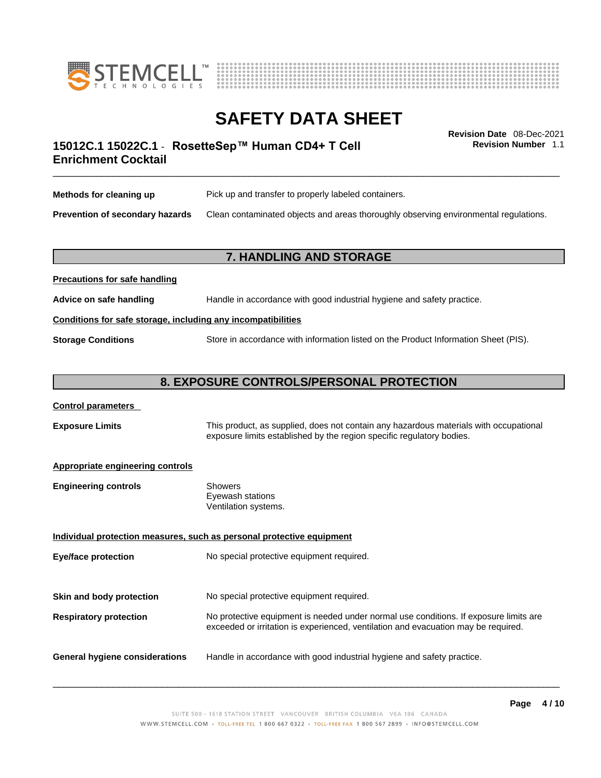



**Revision Number** 1.1

## \_\_\_\_\_\_\_\_\_\_\_\_\_\_\_\_\_\_\_\_\_\_\_\_\_\_\_\_\_\_\_\_\_\_\_\_\_\_\_\_\_\_\_\_\_\_\_\_\_\_\_\_\_\_\_\_\_\_\_\_\_\_\_\_\_\_\_\_\_\_\_\_\_\_\_\_\_\_\_\_\_\_\_\_\_\_\_\_\_\_\_\_\_ **Revision Date** 08-Dec-2021 **15012C.1 15022C.1** - **RosetteSep™ Human CD4+ T Cell Enrichment Cocktail**

| Methods for cleaning up                | Pick up and transfer to properly labeled containers.                                 |
|----------------------------------------|--------------------------------------------------------------------------------------|
| <b>Prevention of secondary hazards</b> | Clean contaminated objects and areas thoroughly observing environmental regulations. |

### **7. HANDLING AND STORAGE**

| Advice on safe handling                                      | Handle in accordance with good industrial hygiene and safety practice.              |  |
|--------------------------------------------------------------|-------------------------------------------------------------------------------------|--|
| Conditions for safe storage, including any incompatibilities |                                                                                     |  |
| <b>Storage Conditions</b>                                    | Store in accordance with information listed on the Product Information Sheet (PIS). |  |

### **8. EXPOSURE CONTROLS/PERSONAL PROTECTION**

### **Control parameters**

**Precautions for safe handling**

**Exposure Limits** This product, as supplied, does not contain any hazardous materials with occupational exposure limits established by the region specific regulatory bodies.

### **Appropriate engineering controls**

| <b>Engineering controls</b> | Showers              |
|-----------------------------|----------------------|
|                             | Eyewash stations     |
|                             | Ventilation systems. |

**Individual protection measures, such as personal protective equipment Eye/face protection** No special protective equipment required. **Skin and body protection** No special protective equipment required. **Respiratory protection** No protective equipment is needed under normal use conditions. If exposure limits are exceeded or irritation is experienced, ventilation and evacuation may be required. **General hygiene considerations** Handle in accordance with good industrial hygiene and safety practice.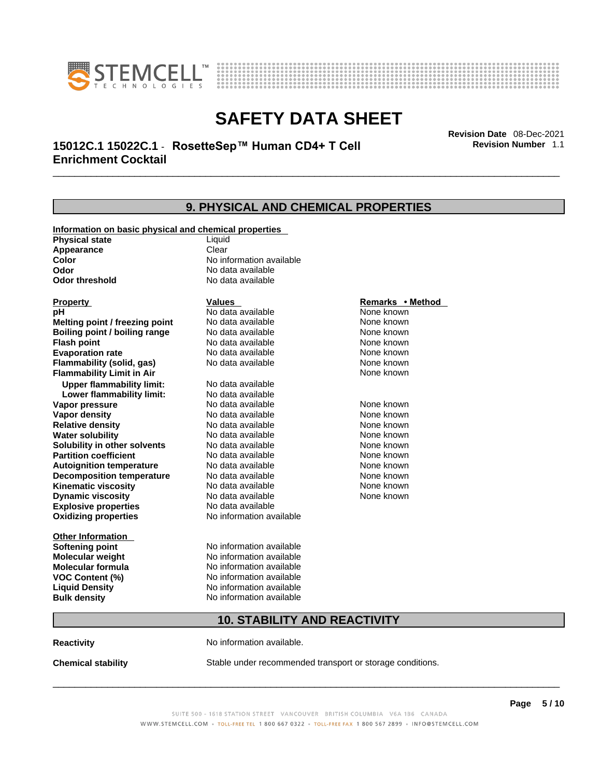



## \_\_\_\_\_\_\_\_\_\_\_\_\_\_\_\_\_\_\_\_\_\_\_\_\_\_\_\_\_\_\_\_\_\_\_\_\_\_\_\_\_\_\_\_\_\_\_\_\_\_\_\_\_\_\_\_\_\_\_\_\_\_\_\_\_\_\_\_\_\_\_\_\_\_\_\_\_\_\_\_\_\_\_\_\_\_\_\_\_\_\_\_\_ **Revision Date** 08-Dec-2021 **15012C.1 15022C.1** - **RosetteSep™ Human CD4+ T Cell Enrichment Cocktail**

**9. PHYSICAL AND CHEMICAL PROPERTIES Information on basic physical and chemical properties Physical state** Liquid **Appearance** Clear<br> **Color** No int **Color Color Color Color Color Color Color No** data available **Odor Odor Constanting Codor Constanting Codor Codor Codor Codor Codor Codor Codor Codor Codor Codor Codor Codor Codor Codor Codor Codor Codor Codor Codor Codor Codor Codor Codor No data available Explosive properties** No data available **Oxidizing properties** No information available **Other Information Softening point** No information available **Molecular weight** No information available **Molecular formula** No information available<br>**VOC Content (%)** No information available **VOC Content (%) Liquid Density** No information available **Bulk density No information available 10. STABILITY AND REACTIVITY Property CONSCRUTE IN THE VALUES REMARKS • Method pH** No data available None known **Melting point / freezing point Boiling point / boiling range No data available None known Flash point Communist Communist Communist Communist Communist Communist Communist Communist Communist Communist Communist Communist Communist Communist Communist Communist Communist Communist Communist Communist Communi Evaporation rate Reserve ACC** No data available **None known** None known **Flammability (solid, gas)** No data available None known **Flammability Limit in Air None known None known Upper flammability limit:** No data available **Lower flammability limit:** No data available **Vapor pressure No data available None known Vapor density No data available None known Relative density Notata available None known Water solubility <br>
<b>Water solubility n** other solvents Modata available None known<br>
None known **Solubility in other solvents** No data available **None known**<br> **Partition coefficient** No data available None known **Partition coefficient**<br> **Autoignition temperature**<br>
No data available **Autoignition temperature** No data available None known<br> **Decomposition temperature** No data available None known **Decomposition temperature** No data available None known<br> **Kinematic viscosity** No data available None known **Kinematic viscosity** No data available<br> **Dynamic viscosity** No data available **Dynamic viscosity** None known

**Reactivity No information available.** 

**Chemical stability** Stable under recommended transport or storage conditions.

 $\_$  ,  $\_$  ,  $\_$  ,  $\_$  ,  $\_$  ,  $\_$  ,  $\_$  ,  $\_$  ,  $\_$  ,  $\_$  ,  $\_$  ,  $\_$  ,  $\_$  ,  $\_$  ,  $\_$  ,  $\_$  ,  $\_$  ,  $\_$  ,  $\_$  ,  $\_$  ,  $\_$  ,  $\_$  ,  $\_$  ,  $\_$  ,  $\_$  ,  $\_$  ,  $\_$  ,  $\_$  ,  $\_$  ,  $\_$  ,  $\_$  ,  $\_$  ,  $\_$  ,  $\_$  ,  $\_$  ,  $\_$  ,  $\_$  ,

**Revision Number** 1.1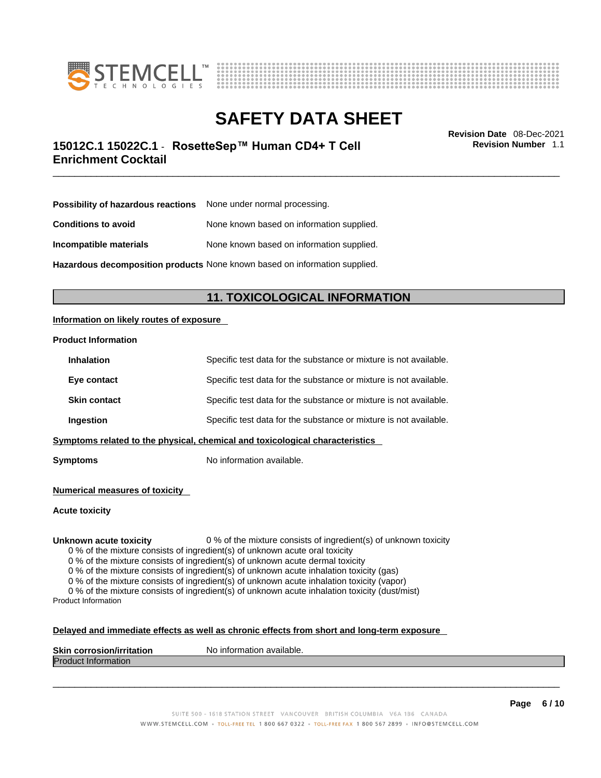



## \_\_\_\_\_\_\_\_\_\_\_\_\_\_\_\_\_\_\_\_\_\_\_\_\_\_\_\_\_\_\_\_\_\_\_\_\_\_\_\_\_\_\_\_\_\_\_\_\_\_\_\_\_\_\_\_\_\_\_\_\_\_\_\_\_\_\_\_\_\_\_\_\_\_\_\_\_\_\_\_\_\_\_\_\_\_\_\_\_\_\_\_\_ **Revision Date** 08-Dec-2021 **15012C.1 15022C.1** - **RosetteSep™ Human CD4+ T Cell Enrichment Cocktail**

**Revision Number** 1.1

| <b>Possibility of hazardous reactions</b> None under normal processing. |
|-------------------------------------------------------------------------|
| None known based on information supplied.                               |
| None known based on information supplied.                               |
|                                                                         |

**Hazardous decomposition products** None known based on information supplied.

### **11. TOXICOLOGICAL INFORMATION**

### **Information on likely routes of exposure**

### **Product Information**

|                                                                                        | Ingestion           | Specific test data for the substance or mixture is not available. |
|----------------------------------------------------------------------------------------|---------------------|-------------------------------------------------------------------|
|                                                                                        | <b>Skin contact</b> | Specific test data for the substance or mixture is not available. |
|                                                                                        | Eye contact         | Specific test data for the substance or mixture is not available. |
| Specific test data for the substance or mixture is not available.<br><b>Inhalation</b> |                     |                                                                   |

**Symptoms** No information available.

**Numerical measures of toxicity**

**Acute toxicity**

**Unknown acute toxicity** 0 % of the mixture consists of ingredient(s) of unknown toxicity

0 % of the mixture consists of ingredient(s) of unknown acute oral toxicity

0 % of the mixture consists of ingredient(s) of unknown acute dermal toxicity

0 % of the mixture consists of ingredient(s) of unknown acute inhalation toxicity (gas)

0 % of the mixture consists of ingredient(s) of unknown acute inhalation toxicity (vapor)

0 % of the mixture consists of ingredient(s) of unknown acute inhalation toxicity (dust/mist) Product Information

### **Delayed and immediate effects as well as chronic effects from short and long-term exposure**

| <b>Skin</b><br>---<br>inform<br><b>Virritation</b><br>Nο<br>$-1$<br>---------<br>mation available.<br>. corros |  |
|----------------------------------------------------------------------------------------------------------------|--|
| Proo<br>nauon                                                                                                  |  |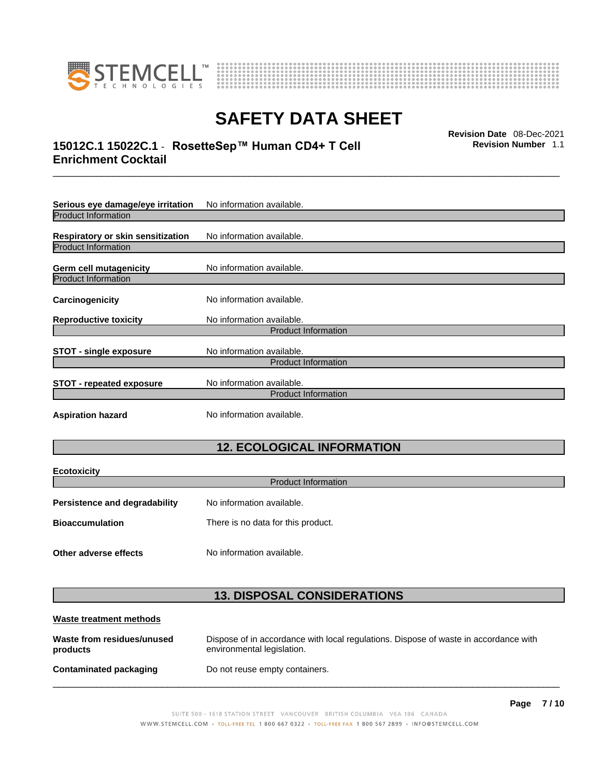

**Ecotoxicity** 



# **SAFETY DATA SHEET**

## \_\_\_\_\_\_\_\_\_\_\_\_\_\_\_\_\_\_\_\_\_\_\_\_\_\_\_\_\_\_\_\_\_\_\_\_\_\_\_\_\_\_\_\_\_\_\_\_\_\_\_\_\_\_\_\_\_\_\_\_\_\_\_\_\_\_\_\_\_\_\_\_\_\_\_\_\_\_\_\_\_\_\_\_\_\_\_\_\_\_\_\_\_ **Revision Date** 08-Dec-2021 **15012C.1 15022C.1** - **RosetteSep™ Human CD4+ T Cell Enrichment Cocktail**

**Revision Number** 1.1

| Serious eye damage/eye irritation                                                          | No information available.  |  |
|--------------------------------------------------------------------------------------------|----------------------------|--|
| <b>Product Information</b>                                                                 |                            |  |
| <b>Respiratory or skin sensitization</b>                                                   | No information available.  |  |
| <b>Product Information</b>                                                                 |                            |  |
| Germ cell mutagenicity                                                                     | No information available.  |  |
| <b>Product Information</b>                                                                 |                            |  |
| Carcinogenicity                                                                            | No information available.  |  |
| <b>Reproductive toxicity</b>                                                               | No information available.  |  |
|                                                                                            | <b>Product Information</b> |  |
| No information available.<br><b>STOT - single exposure</b>                                 |                            |  |
| <b>Product Information</b>                                                                 |                            |  |
| No information available.<br><b>STOT - repeated exposure</b><br><b>Product Information</b> |                            |  |
|                                                                                            |                            |  |
| <b>Aspiration hazard</b>                                                                   | No information available.  |  |

## **12. ECOLOGICAL INFORMATION**

| <b>ECOTOXICITY</b><br><b>Product Information</b>             |                           |  |
|--------------------------------------------------------------|---------------------------|--|
| <b>Persistence and degradability</b>                         | No information available. |  |
| There is no data for this product.<br><b>Bioaccumulation</b> |                           |  |
| Other adverse effects                                        | No information available. |  |

### **13. DISPOSAL CONSIDERATIONS**

| Waste treatment methods                |                                                                                                                    |  |
|----------------------------------------|--------------------------------------------------------------------------------------------------------------------|--|
| Waste from residues/unused<br>products | Dispose of in accordance with local regulations. Dispose of waste in accordance with<br>environmental legislation. |  |
| Contaminated packaging                 | Do not reuse empty containers.                                                                                     |  |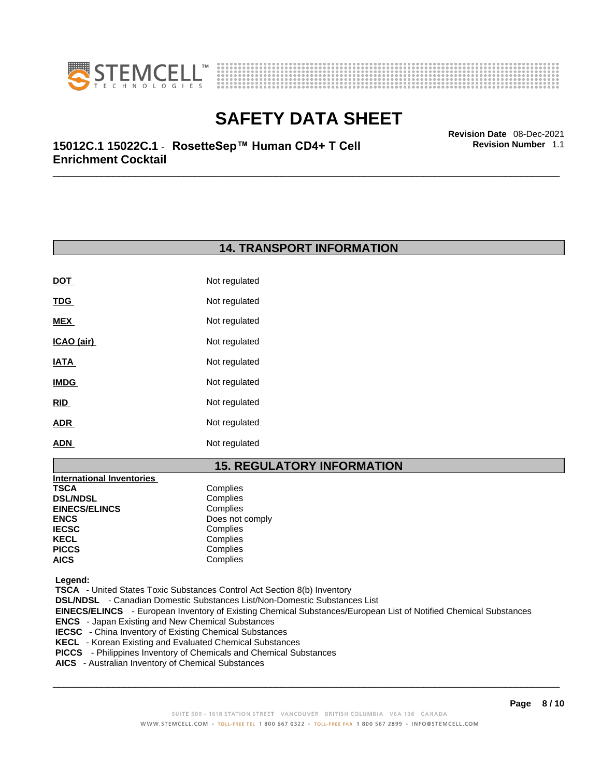



\_\_\_\_\_\_\_\_\_\_\_\_\_\_\_\_\_\_\_\_\_\_\_\_\_\_\_\_\_\_\_\_\_\_\_\_\_\_\_\_\_\_\_\_\_\_\_\_\_\_\_\_\_\_\_\_\_\_\_\_\_\_\_\_\_\_\_\_\_\_\_\_\_\_\_\_\_\_\_\_\_\_\_\_\_\_\_\_\_\_\_\_\_ **Revision Date** 08-Dec-2021 **15012C.1 15022C.1** - **RosetteSep™ Human CD4+ T Cell Enrichment Cocktail** 

### **14. TRANSPORT INFORMATION**

| <b>DOT</b>  | Not regulated |
|-------------|---------------|
| <u>TDG</u>  | Not regulated |
| MEX         | Not regulated |
| ICAO (air)  | Not regulated |
| IATA        | Not regulated |
| <b>IMDG</b> | Not regulated |
| RID         | Not regulated |
| <b>ADR</b>  | Not regulated |
| <b>ADN</b>  | Not regulated |

### **15. REGULATORY INFORMATION**

| <b>International Inventories</b> |                 |
|----------------------------------|-----------------|
| TSCA                             | Complies        |
| <b>DSL/NDSL</b>                  | Complies        |
| <b>EINECS/ELINCS</b>             | Complies        |
| ENCS                             | Does not comply |
| <b>IECSC</b>                     | Complies        |
| KECL                             | Complies        |
| PICCS                            | Complies        |
| AICS                             | Complies        |
|                                  |                 |

 **Legend:** 

 **TSCA** - United States Toxic Substances Control Act Section 8(b) Inventory

 **DSL/NDSL** - Canadian Domestic Substances List/Non-Domestic Substances List

 **EINECS/ELINCS** - European Inventory of Existing Chemical Substances/European List of Notified Chemical Substances

- **ENCS**  Japan Existing and New Chemical Substances
- **IECSC**  China Inventory of Existing Chemical Substances
- **KECL**  Korean Existing and Evaluated Chemical Substances
- **PICCS**  Philippines Inventory of Chemicals and Chemical Substances
- **AICS**  Australian Inventory of Chemical Substances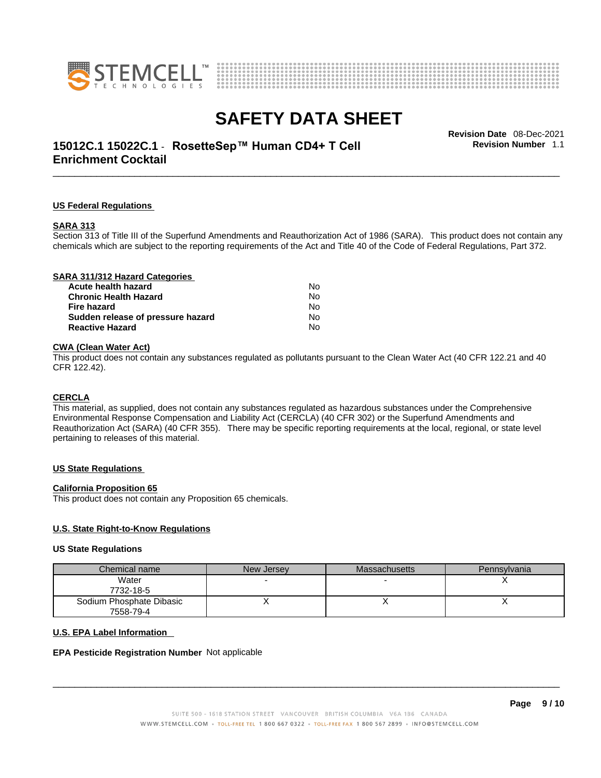



## \_\_\_\_\_\_\_\_\_\_\_\_\_\_\_\_\_\_\_\_\_\_\_\_\_\_\_\_\_\_\_\_\_\_\_\_\_\_\_\_\_\_\_\_\_\_\_\_\_\_\_\_\_\_\_\_\_\_\_\_\_\_\_\_\_\_\_\_\_\_\_\_\_\_\_\_\_\_\_\_\_\_\_\_\_\_\_\_\_\_\_\_\_ **Revision Date** 08-Dec-2021 **15012C.1 15022C.1** - **RosetteSep™ Human CD4+ T Cell Enrichment Cocktail**

**Revision Number** 1.1

### **US Federal Regulations**

#### **SARA 313**

Section 313 of Title III of the Superfund Amendments and Reauthorization Act of 1986 (SARA). This product does not contain any chemicals which are subject to the reporting requirements of the Act and Title 40 of the Code of Federal Regulations, Part 372.

### **CWA** (Clean Water Act)

This product does not contain any substances regulated as pollutants pursuant to the Clean Water Act (40 CFR 122.21 and 40 CFR 122.42).

#### **CERCLA**

This material, as supplied, does not contain any substances regulated as hazardous substances under the Comprehensive Environmental Response Compensation and Liability Act (CERCLA) (40 CFR 302) or the Superfund Amendments and Reauthorization Act (SARA) (40 CFR 355). There may be specific reporting requirements at the local, regional, or state level pertaining to releases of this material.

#### **US State Regulations**

#### **California Proposition 65**

This product does not contain any Proposition 65 chemicals.

### **U.S. State Right-to-Know Regulations**

#### **US State Regulations**

| Chemical name            | New Jersey | <b>Massachusetts</b> | Pennsylvania |
|--------------------------|------------|----------------------|--------------|
| Water                    |            |                      |              |
| 7732-18-5                |            |                      |              |
| Sodium Phosphate Dibasic |            |                      |              |
| 7558-79-4                |            |                      |              |

#### **U.S. EPA Label Information**

#### **EPA Pesticide Registration Number** Not applicable